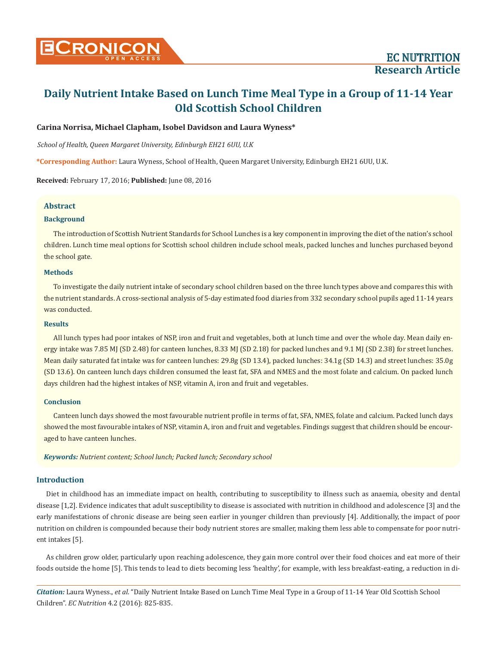## **Carina Norrisa, Michael Clapham, Isobel Davidson and Laura Wyness\***

*School of Health, Queen Margaret University, Edinburgh EH21 6UU, U.K*

**\*Corresponding Author:** Laura Wyness, School of Health, Queen Margaret University, Edinburgh EH21 6UU, U.K.

**Received:** February 17, 2016; **Published:** June 08, 2016

## **Abstract**

#### **Background**

The introduction of Scottish Nutrient Standards for School Lunches is a key component in improving the diet of the nation's school children. Lunch time meal options for Scottish school children include school meals, packed lunches and lunches purchased beyond the school gate.

#### **Methods**

To investigate the daily nutrient intake of secondary school children based on the three lunch types above and compares this with the nutrient standards. A cross-sectional analysis of 5-day estimated food diaries from 332 secondary school pupils aged 11-14 years was conducted.

#### **Results**

All lunch types had poor intakes of NSP, iron and fruit and vegetables, both at lunch time and over the whole day. Mean daily energy intake was 7.85 MJ (SD 2.48) for canteen lunches, 8.33 MJ (SD 2.18) for packed lunches and 9.1 MJ (SD 2.38) for street lunches. Mean daily saturated fat intake was for canteen lunches: 29.8g (SD 13.4), packed lunches: 34.1g (SD 14.3) and street lunches: 35.0g (SD 13.6). On canteen lunch days children consumed the least fat, SFA and NMES and the most folate and calcium. On packed lunch days children had the highest intakes of NSP, vitamin A, iron and fruit and vegetables.

#### **Conclusion**

Canteen lunch days showed the most favourable nutrient profile in terms of fat, SFA, NMES, folate and calcium. Packed lunch days showed the most favourable intakes of NSP, vitamin A, iron and fruit and vegetables. Findings suggest that children should be encouraged to have canteen lunches.

*Keywords: Nutrient content; School lunch; Packed lunch; Secondary school*

## **Introduction**

Diet in childhood has an immediate impact on health, contributing to susceptibility to illness such as anaemia, obesity and dental disease [1,2]. Evidence indicates that adult susceptibility to disease is associated with nutrition in childhood and adolescence [3] and the early manifestations of chronic disease are being seen earlier in younger children than previously [4]. Additionally, the impact of poor nutrition on children is compounded because their body nutrient stores are smaller, making them less able to compensate for poor nutrient intakes [5].

As children grow older, particularly upon reaching adolescence, they gain more control over their food choices and eat more of their foods outside the home [5]. This tends to lead to diets becoming less 'healthy', for example, with less breakfast-eating, a reduction in di-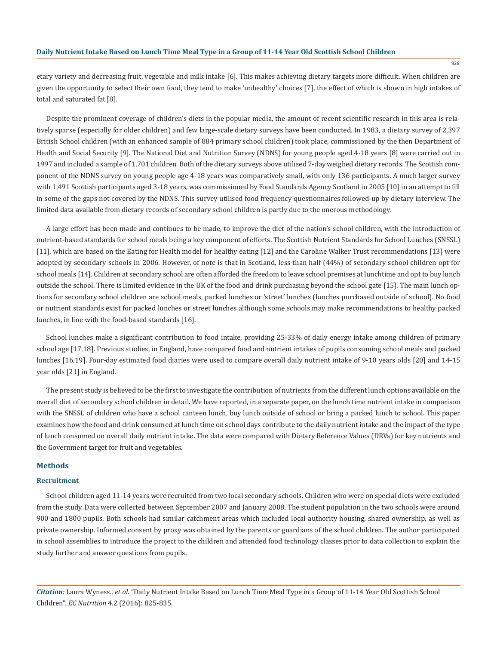etary variety and decreasing fruit, vegetable and milk intake [6]. This makes achieving dietary targets more difficult. When children are given the opportunity to select their own food, they tend to make 'unhealthy' choices [7], the effect of which is shown in high intakes of total and saturated fat [8].

Despite the prominent coverage of children's diets in the popular media, the amount of recent scientific research in this area is relatively sparse (especially for older children) and few large-scale dietary surveys have been conducted. In 1983, a dietary survey of 2,397 British School children (with an enhanced sample of 884 primary school children) took place, commissioned by the then Department of Health and Social Security [9]. The National Diet and Nutrition Survey (NDNS) for young people aged 4-18 years [8] were carried out in 1997 and included a sample of 1,701 children. Both of the dietary surveys above utilised 7-day weighed dietary records. The Scottish component of the NDNS survey on young people age 4-18 years was comparatively small, with only 136 participants. A much larger survey with 1,491 Scottish participants aged 3-18 years, was commissioned by Food Standards Agency Scotland in 2005 [10] in an attempt to fill in some of the gaps not covered by the NDNS. This survey utilised food frequency questionnaires followed-up by dietary interview. The limited data available from dietary records of secondary school children is partly due to the onerous methodology.

A large effort has been made and continues to be made, to improve the diet of the nation's school children, with the introduction of nutrient-based standards for school meals being a key component of efforts. The Scottish Nutrient Standards for School Lunches (SNSSL) [11], which are based on the Eating for Health model for healthy eating [12] and the Caroline Walker Trust recommendations [13] were adopted by secondary schools in 2006. However, of note is that in Scotland, less than half (44%) of secondary school children opt for school meals [14]. Children at secondary school are often afforded the freedom to leave school premises at lunchtime and opt to buy lunch outside the school. There is limited evidence in the UK of the food and drink purchasing beyond the school gate [15]. The main lunch options for secondary school children are school meals, packed lunches or 'street' lunches (lunches purchased outside of school). No food or nutrient standards exist for packed lunches or street lunches although some schools may make recommendations to healthy packed lunches, in line with the food-based standards [16].

School lunches make a significant contribution to food intake, providing 25-33% of daily energy intake among children of primary school age [17,18]. Previous studies, in England, have compared food and nutrient intakes of pupils consuming school meals and packed lunches [16,19]. Four-day estimated food diaries were used to compare overall daily nutrient intake of 9-10 years olds [20] and 14-15 year olds [21] in England.

The present study is believed to be the first to investigate the contribution of nutrients from the different lunch options available on the overall diet of secondary school children in detail. We have reported, in a separate paper, on the lunch time nutrient intake in comparison with the SNSSL of children who have a school canteen lunch, buy lunch outside of school or bring a packed lunch to school. This paper examines how the food and drink consumed at lunch time on school days contribute to the daily nutrient intake and the impact of the type of lunch consumed on overall daily nutrient intake. The data were compared with Dietary Reference Values (DRVs) for key nutrients and the Government target for fruit and vegetables.

#### **Methods**

#### **Recruitment**

School children aged 11-14 years were recruited from two local secondary schools. Children who were on special diets were excluded from the study. Data were collected between September 2007 and January 2008. The student population in the two schools were around 900 and 1800 pupils. Both schools had similar catchment areas which included local authority housing, shared ownership, as well as private ownership. Informed consent by proxy was obtained by the parents or guardians of the school children. The author participated in school assemblies to introduce the project to the children and attended food technology classes prior to data collection to explain the study further and answer questions from pupils.

*Citation:* Laura Wyness., *et al*. "Daily Nutrient Intake Based on Lunch Time Meal Type in a Group of 11-14 Year Old Scottish School Children". *EC Nutrition* 4.2 (2016): 825-835.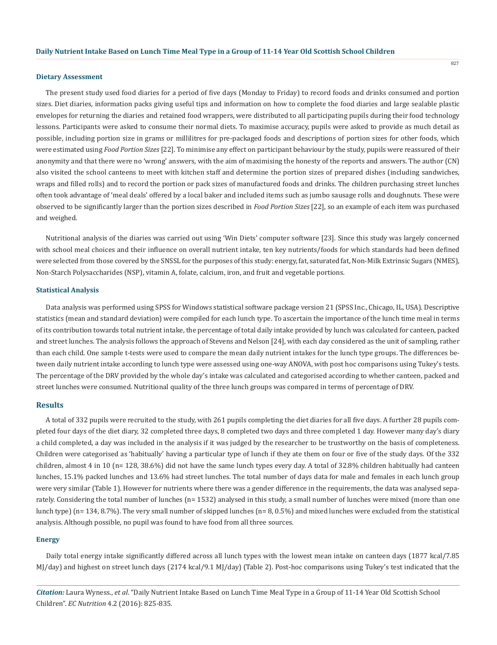#### **Dietary Assessment**

The present study used food diaries for a period of five days (Monday to Friday) to record foods and drinks consumed and portion sizes. Diet diaries, information packs giving useful tips and information on how to complete the food diaries and large sealable plastic envelopes for returning the diaries and retained food wrappers, were distributed to all participating pupils during their food technology lessons. Participants were asked to consume their normal diets. To maximise accuracy, pupils were asked to provide as much detail as possible, including portion size in grams or millilitres for pre-packaged foods and descriptions of portion sizes for other foods, which were estimated using *Food Portion Sizes* [22]. To minimise any effect on participant behaviour by the study, pupils were reassured of their anonymity and that there were no 'wrong' answers, with the aim of maximising the honesty of the reports and answers. The author (CN) also visited the school canteens to meet with kitchen staff and determine the portion sizes of prepared dishes (including sandwiches, wraps and filled rolls) and to record the portion or pack sizes of manufactured foods and drinks. The children purchasing street lunches often took advantage of 'meal deals' offered by a local baker and included items such as jumbo sausage rolls and doughnuts. These were observed to be significantly larger than the portion sizes described in *Food Portion Sizes* [22], so an example of each item was purchased and weighed.

Nutritional analysis of the diaries was carried out using 'Win Diets' computer software [23]. Since this study was largely concerned with school meal choices and their influence on overall nutrient intake, ten key nutrients/foods for which standards had been defined were selected from those covered by the SNSSL for the purposes of this study: energy, fat, saturated fat, Non-Milk Extrinsic Sugars (NMES), Non-Starch Polysaccharides (NSP), vitamin A, folate, calcium, iron, and fruit and vegetable portions.

#### **Statistical Analysis**

Data analysis was performed using SPSS for Windows statistical software package version 21 (SPSS Inc., Chicago, IL, USA). Descriptive statistics (mean and standard deviation) were compiled for each lunch type. To ascertain the importance of the lunch time meal in terms of its contribution towards total nutrient intake, the percentage of total daily intake provided by lunch was calculated for canteen, packed and street lunches. The analysis follows the approach of Stevens and Nelson [24], with each day considered as the unit of sampling, rather than each child. One sample t-tests were used to compare the mean daily nutrient intakes for the lunch type groups. The differences between daily nutrient intake according to lunch type were assessed using one-way ANOVA, with post hoc comparisons using Tukey's tests. The percentage of the DRV provided by the whole day's intake was calculated and categorised according to whether canteen, packed and street lunches were consumed. Nutritional quality of the three lunch groups was compared in terms of percentage of DRV.

# **Results**

A total of 332 pupils were recruited to the study, with 261 pupils completing the diet diaries for all five days. A further 28 pupils completed four days of the diet diary, 32 completed three days, 8 completed two days and three completed 1 day. However many day's diary a child completed, a day was included in the analysis if it was judged by the researcher to be trustworthy on the basis of completeness. Children were categorised as 'habitually' having a particular type of lunch if they ate them on four or five of the study days. Of the 332 children, almost 4 in 10 (n= 128, 38.6%) did not have the same lunch types every day. A total of 32.8% children habitually had canteen lunches, 15.1% packed lunches and 13.6% had street lunches. The total number of days data for male and females in each lunch group were very similar (Table 1). However for nutrients where there was a gender difference in the requirements, the data was analysed separately. Considering the total number of lunches (n= 1532) analysed in this study, a small number of lunches were mixed (more than one lunch type) (n= 134, 8.7%). The very small number of skipped lunches (n= 8, 0.5%) and mixed lunches were excluded from the statistical analysis. Although possible, no pupil was found to have food from all three sources.

#### **Energy**

Daily total energy intake significantly differed across all lunch types with the lowest mean intake on canteen days (1877 kcal/7.85 MJ/day) and highest on street lunch days (2174 kcal/9.1 MJ/day) (Table 2). Post-hoc comparisons using Tukey's test indicated that the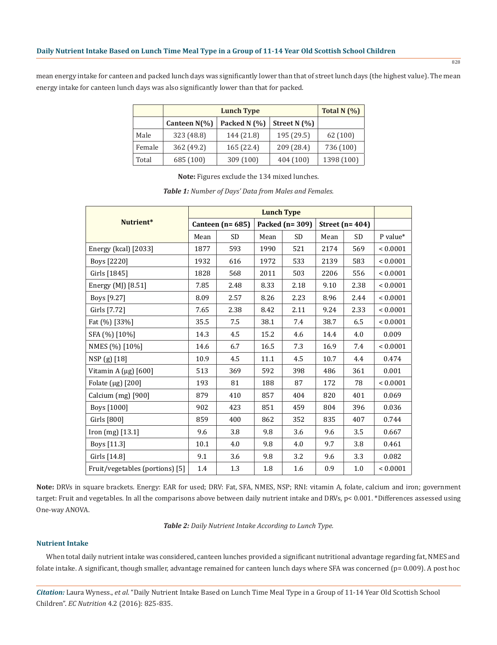mean energy intake for canteen and packed lunch days was significantly lower than that of street lunch days (the highest value). The mean energy intake for canteen lunch days was also significantly lower than that for packed.

|        |                 | Total N $(%)$ |                |            |
|--------|-----------------|---------------|----------------|------------|
|        | Canteen $N(\%)$ | Packed N (%)  | Street N $(%)$ |            |
| Male   | 323 (48.8)      | 144 (21.8)    | 195 (29.5)     | 62(100)    |
| Female | 362 (49.2)      | 165(22.4)     | 209 (28.4)     | 736 (100)  |
| Total  | 685 (100)       | 309(100)      | 404 (100)      | 1398 (100) |

**Note:** Figures exclude the 134 mixed lunches.

|                                 | <b>Lunch Type</b>     |           |                  |           |                      |           |               |
|---------------------------------|-----------------------|-----------|------------------|-----------|----------------------|-----------|---------------|
| Nutrient*                       | Canteen ( $n = 685$ ) |           | Packed $(n=309)$ |           | Street ( $n = 404$ ) |           |               |
|                                 | Mean                  | <b>SD</b> | Mean             | <b>SD</b> | Mean                 | <b>SD</b> | P value*      |
| Energy (kcal) [2033]            | 1877                  | 593       | 1990             | 521       | 2174                 | 569       | < 0.0001      |
| Boys [2220]                     | 1932                  | 616       | 1972             | 533       | 2139                 | 583       | ${}< 0.0001$  |
| Girls [1845]                    | 1828                  | 568       | 2011             | 503       | 2206                 | 556       | ${}_{0.0001}$ |
| Energy (MJ) [8.51]              | 7.85                  | 2.48      | 8.33             | 2.18      | 9.10                 | 2.38      | ${}< 0.0001$  |
| Boys [9.27]                     | 8.09                  | 2.57      | 8.26             | 2.23      | 8.96                 | 2.44      | ${}< 0.0001$  |
| Girls [7.72]                    | 7.65                  | 2.38      | 8.42             | 2.11      | 9.24                 | 2.33      | ${}< 0.0001$  |
| Fat (%) [33%]                   | 35.5                  | 7.5       | 38.1             | 7.4       | 38.7                 | 6.5       | ${}< 0.0001$  |
| SFA (%) [10%]                   | 14.3                  | 4.5       | 15.2             | 4.6       | 14.4                 | 4.0       | 0.009         |
| NMES (%) [10%]                  | 14.6                  | 6.7       | 16.5             | 7.3       | 16.9                 | 7.4       | ${}< 0.0001$  |
| NSP (g) [18]                    | 10.9                  | 4.5       | 11.1             | 4.5       | 10.7                 | 4.4       | 0.474         |
| Vitamin A $(\mu g)$ [600]       | 513                   | 369       | 592              | 398       | 486                  | 361       | 0.001         |
| Folate ( $\mu$ g) [200]         | 193                   | 81        | 188              | 87        | 172                  | 78        | ${}< 0.0001$  |
| Calcium (mg) [900]              | 879                   | 410       | 857              | 404       | 820                  | 401       | 0.069         |
| Boys [1000]                     | 902                   | 423       | 851              | 459       | 804                  | 396       | 0.036         |
| Girls [800]                     | 859                   | 400       | 862              | 352       | 835                  | 407       | 0.744         |
| Iron (mg) [13.1]                | 9.6                   | 3.8       | 9.8              | 3.6       | 9.6                  | 3.5       | 0.667         |
| Boys [11.3]                     | 10.1                  | 4.0       | 9.8              | 4.0       | 9.7                  | 3.8       | 0.461         |
| Girls [14.8]                    | 9.1                   | 3.6       | 9.8              | 3.2       | 9.6                  | 3.3       | 0.082         |
| Fruit/vegetables (portions) [5] | 1.4                   | 1.3       | 1.8              | 1.6       | 0.9                  | 1.0       | ${}< 0.0001$  |

*Table 1: Number of Days' Data from Males and Females.*

**Note:** DRVs in square brackets. Energy: EAR for used; DRV: Fat, SFA, NMES, NSP; RNI: vitamin A, folate, calcium and iron; government target: Fruit and vegetables. In all the comparisons above between daily nutrient intake and DRVs, p< 0.001. \*Differences assessed using One-way ANOVA.

*Table 2: Daily Nutrient Intake According to Lunch Type.*

## **Nutrient Intake**

When total daily nutrient intake was considered, canteen lunches provided a significant nutritional advantage regarding fat, NMES and folate intake. A significant, though smaller, advantage remained for canteen lunch days where SFA was concerned (p= 0.009). A post hoc

*Citation:* Laura Wyness., *et al*. "Daily Nutrient Intake Based on Lunch Time Meal Type in a Group of 11-14 Year Old Scottish School Children". *EC Nutrition* 4.2 (2016): 825-835.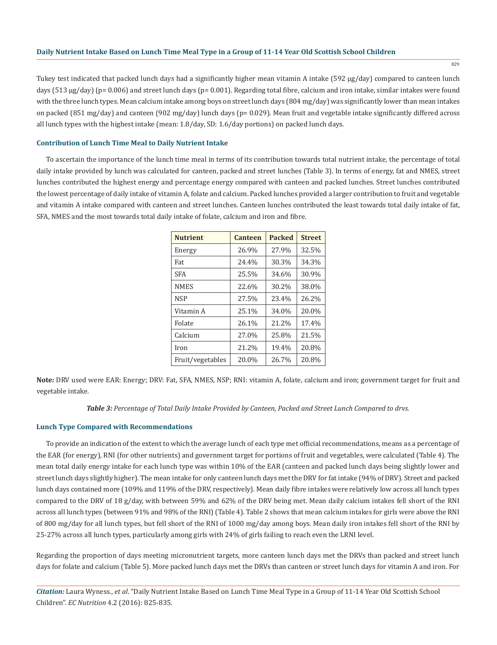829

Tukey test indicated that packed lunch days had a significantly higher mean vitamin A intake (592 µg/day) compared to canteen lunch days (513 µg/day) (p= 0.006) and street lunch days (p= 0.001). Regarding total fibre, calcium and iron intake, similar intakes were found with the three lunch types. Mean calcium intake among boys on street lunch days (804 mg/day) was significantly lower than mean intakes on packed (851 mg/day) and canteen (902 mg/day) lunch days ( $p=0.029$ ). Mean fruit and vegetable intake significantly differed across all lunch types with the highest intake (mean: 1.8/day, SD: 1.6/day portions) on packed lunch days.

#### **Contribution of Lunch Time Meal to Daily Nutrient Intake**

To ascertain the importance of the lunch time meal in terms of its contribution towards total nutrient intake, the percentage of total daily intake provided by lunch was calculated for canteen, packed and street lunches (Table 3). In terms of energy, fat and NMES, street lunches contributed the highest energy and percentage energy compared with canteen and packed lunches. Street lunches contributed the lowest percentage of daily intake of vitamin A, folate and calcium. Packed lunches provided a larger contribution to fruit and vegetable and vitamin A intake compared with canteen and street lunches. Canteen lunches contributed the least towards total daily intake of fat, SFA, NMES and the most towards total daily intake of folate, calcium and iron and fibre.

| <b>Nutrient</b>  | Canteen | <b>Packed</b> | <b>Street</b> |
|------------------|---------|---------------|---------------|
| Energy           | 26.9%   | 27.9%         | 32.5%         |
| Fat              | 24.4%   | 30.3%         | 34.3%         |
| <b>SFA</b>       | 25.5%   | 34.6%         | 30.9%         |
| <b>NMES</b>      | 22.6%   | 30.2%         | 38.0%         |
| <b>NSP</b>       | 27.5%   | 23.4%         | 26.2%         |
| Vitamin A        | 25.1%   | 34.0%         | 20.0%         |
| Folate           | 26.1%   | 21.2%         | 17.4%         |
| Calcium          | 27.0%   | 25.8%         | 21.5%         |
| Iron             | 21.2%   | 19.4%         | 20.8%         |
| Fruit/vegetables | 20.0%   | 26.7%         | 20.8%         |

**Note:** DRV used were EAR: Energy; DRV: Fat, SFA, NMES, NSP; RNI: vitamin A, folate, calcium and iron; government target for fruit and vegetable intake.

#### *Table 3: Percentage of Total Daily Intake Provided by Canteen, Packed and Street Lunch Compared to drvs.*

#### **Lunch Type Compared with Recommendations**

To provide an indication of the extent to which the average lunch of each type met official recommendations, means as a percentage of the EAR (for energy), RNI (for other nutrients) and government target for portions of fruit and vegetables, were calculated (Table 4). The mean total daily energy intake for each lunch type was within 10% of the EAR (canteen and packed lunch days being slightly lower and street lunch days slightly higher). The mean intake for only canteen lunch days met the DRV for fat intake (94% of DRV). Street and packed lunch days contained more (109% and 119% of the DRV, respectively). Mean daily fibre intakes were relatively low across all lunch types compared to the DRV of 18 g/day, with between 59% and 62% of the DRV being met. Mean daily calcium intakes fell short of the RNI across all lunch types (between 91% and 98% of the RNI) (Table 4). Table 2 shows that mean calcium intakes for girls were above the RNI of 800 mg/day for all lunch types, but fell short of the RNI of 1000 mg/day among boys. Mean daily iron intakes fell short of the RNI by 25-27% across all lunch types, particularly among girls with 24% of girls failing to reach even the LRNI level.

Regarding the proportion of days meeting micronutrient targets, more canteen lunch days met the DRVs than packed and street lunch days for folate and calcium (Table 5). More packed lunch days met the DRVs than canteen or street lunch days for vitamin A and iron. For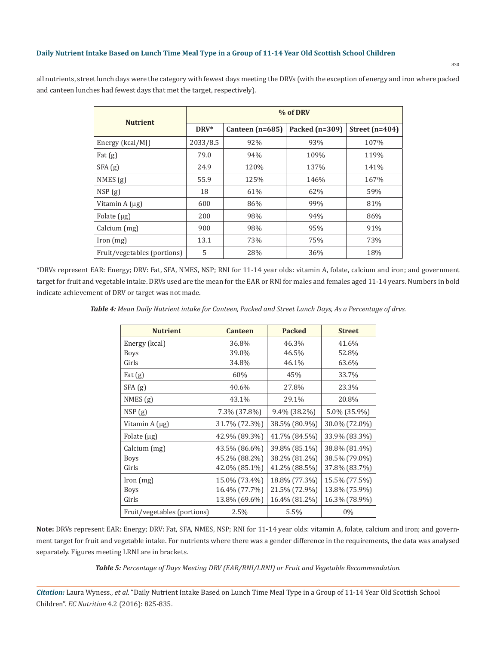all nutrients, street lunch days were the category with fewest days meeting the DRVs (with the exception of energy and iron where packed and canteen lunches had fewest days that met the target, respectively).

| <b>Nutrient</b>             | % of DRV |                   |                  |                  |  |  |
|-----------------------------|----------|-------------------|------------------|------------------|--|--|
|                             | $DRV^*$  | Canteen $(n=685)$ | Packed $(n=309)$ | Street $(n=404)$ |  |  |
| Energy (kcal/MJ)            | 2033/8.5 | 92%               | 93%              | 107%             |  |  |
| Fat $(g)$                   | 79.0     | 94%               | 109%             | 119%             |  |  |
| SFA(g)                      | 24.9     | 120%              | 137%             | 141%             |  |  |
| NMES(g)                     | 55.9     | 125%              | 146%             | 167%             |  |  |
| NSP(g)                      | 18       | 61%               | 62%              | 59%              |  |  |
| Vitamin $A(\mu g)$          | 600      | 86%               | 99%              | 81%              |  |  |
| Folate $(\mu g)$            | 200      | 98%               | 94%              | 86%              |  |  |
| Calcium (mg)                | 900      | 98%               | 95%              | 91%              |  |  |
| [ron (mg)]                  | 13.1     | 73%               | 75%              | 73%              |  |  |
| Fruit/vegetables (portions) | 5        | 28%               | 36%              | 18%              |  |  |

\*DRVs represent EAR: Energy; DRV: Fat, SFA, NMES, NSP; RNI for 11-14 year olds: vitamin A, folate, calcium and iron; and government target for fruit and vegetable intake. DRVs used are the mean for the EAR or RNI for males and females aged 11-14 years. Numbers in bold indicate achievement of DRV or target was not made.

*Table 4: Mean Daily Nutrient intake for Canteen, Packed and Street Lunch Days, As a Percentage of drvs.*

| <b>Nutrient</b>             | <b>Canteen</b> | <b>Packed</b>   | <b>Street</b> |
|-----------------------------|----------------|-----------------|---------------|
| Energy (kcal)               | 36.8%          | 46.3%           | 41.6%         |
| <b>Boys</b>                 | 39.0%          | 46.5%           | 52.8%         |
| Girls                       | 34.8%          | 46.1%           | 63.6%         |
| Fat $(g)$                   | 60%            | 45%             | 33.7%         |
| SFA(g)                      | 40.6%          | 27.8%           | 23.3%         |
| NMES(g)                     | 43.1%          | 29.1%           | 20.8%         |
| NSP(g)                      | 7.3% (37.8%)   | $9.4\%$ (38.2%) | 5.0% (35.9%)  |
| Vitamin A (µg)              | 31.7% (72.3%)  | 38.5% (80.9%)   | 30.0% (72.0%) |
| Folate $(\mu g)$            | 42.9% (89.3%)  | 41.7% (84.5%)   | 33.9% (83.3%) |
| Calcium (mg)                | 43.5% (86.6%)  | 39.8% (85.1%)   | 38.8% (81.4%) |
| <b>Boys</b>                 | 45.2% (88.2%)  | 38.2% (81.2%)   | 38.5% (79.0%) |
| Girls                       | 42.0% (85.1%)  | 41.2% (88.5%)   | 37.8% (83.7%) |
| [ron (mg)]                  | 15.0% (73.4%)  | 18.8% (77.3%)   | 15.5% (77.5%) |
| <b>Boys</b>                 | 16.4% (77.7%)  | 21.5% (72.9%)   | 13.8% (75.9%) |
| Girls                       | 13.8% (69.6%)  | 16.4% (81.2%)   | 16.3% (78.9%) |
| Fruit/vegetables (portions) | 2.5%           | 5.5%            | $0\%$         |

**Note:** DRVs represent EAR: Energy; DRV: Fat, SFA, NMES, NSP; RNI for 11-14 year olds: vitamin A, folate, calcium and iron; and government target for fruit and vegetable intake. For nutrients where there was a gender difference in the requirements, the data was analysed separately. Figures meeting LRNI are in brackets.

*Table 5: Percentage of Days Meeting DRV (EAR/RNI/LRNI) or Fruit and Vegetable Recommendation.*

*Citation:* Laura Wyness., *et al*. "Daily Nutrient Intake Based on Lunch Time Meal Type in a Group of 11-14 Year Old Scottish School Children". *EC Nutrition* 4.2 (2016): 825-835.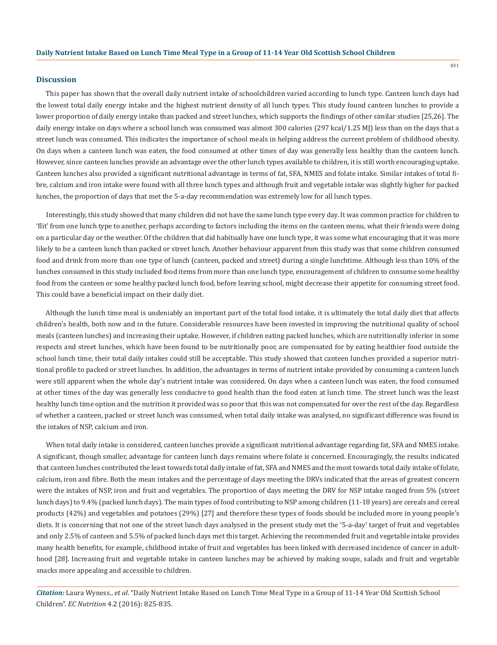#### **Discussion**

This paper has shown that the overall daily nutrient intake of schoolchildren varied according to lunch type. Canteen lunch days had the lowest total daily energy intake and the highest nutrient density of all lunch types. This study found canteen lunches to provide a lower proportion of daily energy intake than packed and street lunches, which supports the findings of other similar studies [25,26]. The daily energy intake on days where a school lunch was consumed was almost 300 calories (297 kcal/1.25 MJ) less than on the days that a street lunch was consumed. This indicates the importance of school meals in helping address the current problem of childhood obesity. On days when a canteen lunch was eaten, the food consumed at other times of day was generally less healthy than the canteen lunch. However, since canteen lunches provide an advantage over the other lunch types available to children, it is still worth encouraging uptake. Canteen lunches also provided a significant nutritional advantage in terms of fat, SFA, NMES and folate intake. Similar intakes of total fibre, calcium and iron intake were found with all three lunch types and although fruit and vegetable intake was slightly higher for packed lunches, the proportion of days that met the 5-a-day recommendation was extremely low for all lunch types.

Interestingly, this study showed that many children did not have the same lunch type every day. It was common practice for children to 'flit' from one lunch type to another, perhaps according to factors including the items on the canteen menu, what their friends were doing on a particular day or the weather. Of the children that did habitually have one lunch type, it was some what encouraging that it was more likely to be a canteen lunch than packed or street lunch. Another behaviour apparent from this study was that some children consumed food and drink from more than one type of lunch (canteen, packed and street) during a single lunchtime. Although less than 10% of the lunches consumed in this study included food items from more than one lunch type, encouragement of children to consume some healthy food from the canteen or some healthy packed lunch food, before leaving school, might decrease their appetite for consuming street food. This could have a beneficial impact on their daily diet.

Although the lunch time meal is undeniably an important part of the total food intake, it is ultimately the total daily diet that affects children's health, both now and in the future. Considerable resources have been invested in improving the nutritional quality of school meals (canteen lunches) and increasing their uptake. However, if children eating packed lunches, which are nutritionally inferior in some respects and street lunches, which have been found to be nutritionally poor, are compensated for by eating healthier food outside the school lunch time, their total daily intakes could still be acceptable. This study showed that canteen lunches provided a superior nutritional profile to packed or street lunches. In addition, the advantages in terms of nutrient intake provided by consuming a canteen lunch were still apparent when the whole day's nutrient intake was considered. On days when a canteen lunch was eaten, the food consumed at other times of the day was generally less conducive to good health than the food eaten at lunch time. The street lunch was the least healthy lunch time option and the nutrition it provided was so poor that this was not compensated for over the rest of the day. Regardless of whether a canteen, packed or street lunch was consumed, when total daily intake was analysed, no significant difference was found in the intakes of NSP, calcium and iron.

When total daily intake is considered, canteen lunches provide a significant nutritional advantage regarding fat, SFA and NMES intake. A significant, though smaller, advantage for canteen lunch days remains where folate is concerned. Encouragingly, the results indicated that canteen lunches contributed the least towards total daily intake of fat, SFA and NMES and the most towards total daily intake of folate, calcium, iron and fibre. Both the mean intakes and the percentage of days meeting the DRVs indicated that the areas of greatest concern were the intakes of NSP, iron and fruit and vegetables. The proportion of days meeting the DRV for NSP intake ranged from 5% (street lunch days) to 9.4% (packed lunch days). The main types of food contributing to NSP among children (11-18 years) are cereals and cereal products (42%) and vegetables and potatoes (29%) [27] and therefore these types of foods should be included more in young people's diets. It is concerning that not one of the street lunch days analysed in the present study met the '5-a-day' target of fruit and vegetables and only 2.5% of canteen and 5.5% of packed lunch days met this target. Achieving the recommended fruit and vegetable intake provides many health benefits, for example, childhood intake of fruit and vegetables has been linked with decreased incidence of cancer in adulthood [28]. Increasing fruit and vegetable intake in canteen lunches may be achieved by making soups, salads and fruit and vegetable snacks more appealing and accessible to children.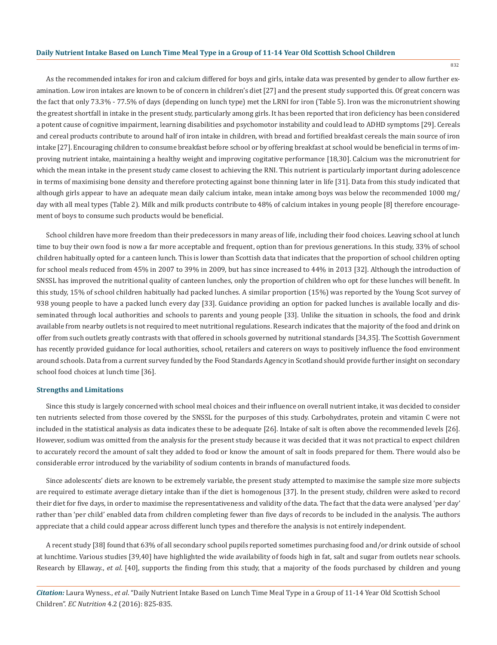As the recommended intakes for iron and calcium differed for boys and girls, intake data was presented by gender to allow further examination. Low iron intakes are known to be of concern in children's diet [27] and the present study supported this. Of great concern was the fact that only 73.3% - 77.5% of days (depending on lunch type) met the LRNI for iron (Table 5). Iron was the micronutrient showing the greatest shortfall in intake in the present study, particularly among girls. It has been reported that iron deficiency has been considered a potent cause of cognitive impairment, learning disabilities and psychomotor instability and could lead to ADHD symptoms [29]. Cereals and cereal products contribute to around half of iron intake in children, with bread and fortified breakfast cereals the main source of iron intake [27]. Encouraging children to consume breakfast before school or by offering breakfast at school would be beneficial in terms of improving nutrient intake, maintaining a healthy weight and improving cogitative performance [18,30]. Calcium was the micronutrient for which the mean intake in the present study came closest to achieving the RNI. This nutrient is particularly important during adolescence in terms of maximising bone density and therefore protecting against bone thinning later in life [31]. Data from this study indicated that although girls appear to have an adequate mean daily calcium intake, mean intake among boys was below the recommended 1000 mg/ day with all meal types (Table 2). Milk and milk products contribute to 48% of calcium intakes in young people [8] therefore encouragement of boys to consume such products would be beneficial.

School children have more freedom than their predecessors in many areas of life, including their food choices. Leaving school at lunch time to buy their own food is now a far more acceptable and frequent, option than for previous generations. In this study, 33% of school children habitually opted for a canteen lunch. This is lower than Scottish data that indicates that the proportion of school children opting for school meals reduced from 45% in 2007 to 39% in 2009, but has since increased to 44% in 2013 [32]. Although the introduction of SNSSL has improved the nutritional quality of canteen lunches, only the proportion of children who opt for these lunches will benefit. In this study, 15% of school children habitually had packed lunches. A similar proportion (15%) was reported by the Young Scot survey of 938 young people to have a packed lunch every day [33]. Guidance providing an option for packed lunches is available locally and disseminated through local authorities and schools to parents and young people [33]. Unlike the situation in schools, the food and drink available from nearby outlets is not required to meet nutritional regulations. Research indicates that the majority of the food and drink on offer from such outlets greatly contrasts with that offered in schools governed by nutritional standards [34,35]. The Scottish Government has recently provided guidance for local authorities, school, retailers and caterers on ways to positively influence the food environment around schools. Data from a current survey funded by the Food Standards Agency in Scotland should provide further insight on secondary school food choices at lunch time [36].

#### **Strengths and Limitations**

Since this study is largely concerned with school meal choices and their influence on overall nutrient intake, it was decided to consider ten nutrients selected from those covered by the SNSSL for the purposes of this study. Carbohydrates, protein and vitamin C were not included in the statistical analysis as data indicates these to be adequate [26]. Intake of salt is often above the recommended levels [26]. However, sodium was omitted from the analysis for the present study because it was decided that it was not practical to expect children to accurately record the amount of salt they added to food or know the amount of salt in foods prepared for them. There would also be considerable error introduced by the variability of sodium contents in brands of manufactured foods.

Since adolescents' diets are known to be extremely variable, the present study attempted to maximise the sample size more subjects are required to estimate average dietary intake than if the diet is homogenous [37]. In the present study, children were asked to record their diet for five days, in order to maximise the representativeness and validity of the data. The fact that the data were analysed 'per day' rather than 'per child' enabled data from children completing fewer than five days of records to be included in the analysis. The authors appreciate that a child could appear across different lunch types and therefore the analysis is not entirely independent.

A recent study [38] found that 63% of all secondary school pupils reported sometimes purchasing food and/or drink outside of school at lunchtime. Various studies [39,40] have highlighted the wide availability of foods high in fat, salt and sugar from outlets near schools. Research by Ellaway., *et al*. [40], supports the finding from this study, that a majority of the foods purchased by children and young

*Citation:* Laura Wyness., *et al*. "Daily Nutrient Intake Based on Lunch Time Meal Type in a Group of 11-14 Year Old Scottish School Children". *EC Nutrition* 4.2 (2016): 825-835.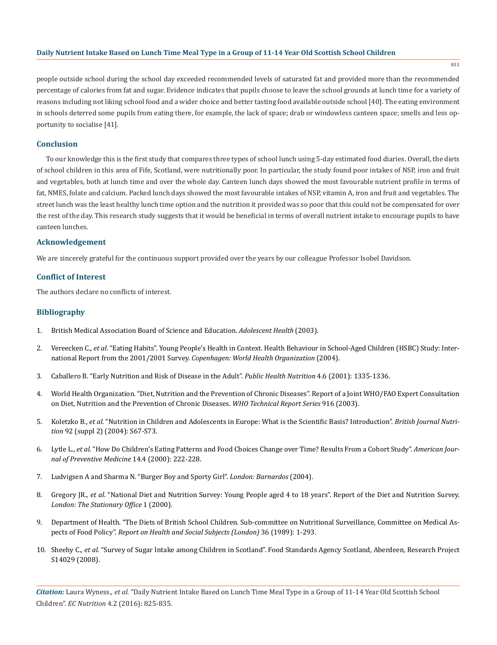833

people outside school during the school day exceeded recommended levels of saturated fat and provided more than the recommended percentage of calories from fat and sugar. Evidence indicates that pupils choose to leave the school grounds at lunch time for a variety of reasons including not liking school food and a wider choice and better tasting food available outside school [40]. The eating environment in schools deterred some pupils from eating there, for example, the lack of space; drab or windowless canteen space; smells and less opportunity to socialise [41].

#### **Conclusion**

To our knowledge this is the first study that compares three types of school lunch using 5-day estimated food diaries. Overall, the diets of school children in this area of Fife, Scotland, were nutritionally poor. In particular, the study found poor intakes of NSP, iron and fruit and vegetables, both at lunch time and over the whole day. Canteen lunch days showed the most favourable nutrient profile in terms of fat, NMES, folate and calcium. Packed lunch days showed the most favourable intakes of NSP, vitamin A, iron and fruit and vegetables. The street lunch was the least healthy lunch time option and the nutrition it provided was so poor that this could not be compensated for over the rest of the day. This research study suggests that it would be beneficial in terms of overall nutrient intake to encourage pupils to have canteen lunches.

#### **Acknowledgement**

We are sincerely grateful for the continuous support provided over the years by our colleague Professor Isobel Davidson.

#### **Conflict of Interest**

The authors declare no conflicts of interest.

## **Bibliography**

- 1. British Medical Association Board of Science and Education. *Adolescent Health* (2003).
- 2. Vereecken C., *et al*. "Eating Habits". Young People's Health in Context. Health Behaviour in School-Aged Children (HSBC) Study: International Report from the 2001/2001 Survey. *Copenhagen: World Health Organization* (2004).
- 3. Caballero B. "Early Nutrition and Risk of Disease in the Adult". *Public Health Nutrition* 4.6 (2001): 1335-1336.
- 4. World Health Organization. "Diet, Nutrition and the Prevention of Chronic Diseases". Report of a Joint WHO/FAO Expert Consultation on Diet, Nutrition and the Prevention of Chronic Diseases. *WHO Technical Report Series* 916 (2003).
- 5. Koletzko B., *et al*. "Nutrition in Children and Adolescents in Europe: What is the Scientific Basis? Introduction". *British Journal Nutrition* 92 (suppl 2) (2004): S67-S73.
- 6. Lytle L., *et al*. "How Do Children's Eating Patterns and Food Choices Change over Time? Results From a Cohort Study". *American Journal of Preventive Medicine* 14.4 (2000): 222-228.
- 7. Ludvigsen A and Sharma N. "Burger Boy and Sporty Girl". *London: Barnardos* (2004).
- 8. Gregory JR., *et al*. "National Diet and Nutrition Survey: Young People aged 4 to 18 years". Report of the Diet and Nutrition Survey. *London: The Stationary Office* 1 (2000).
- 9. Department of Health. "The Diets of British School Children. Sub-committee on Nutritional Surveillance, Committee on Medical Aspects of Food Policy". *Report on Health and Social Subjects (London)* 36 (1989): 1-293.
- 10. Sheehy C., *et al*. "Survey of Sugar Intake among Children in Scotland". Food Standards Agency Scotland, Aberdeen, Research Project S14029 (2008).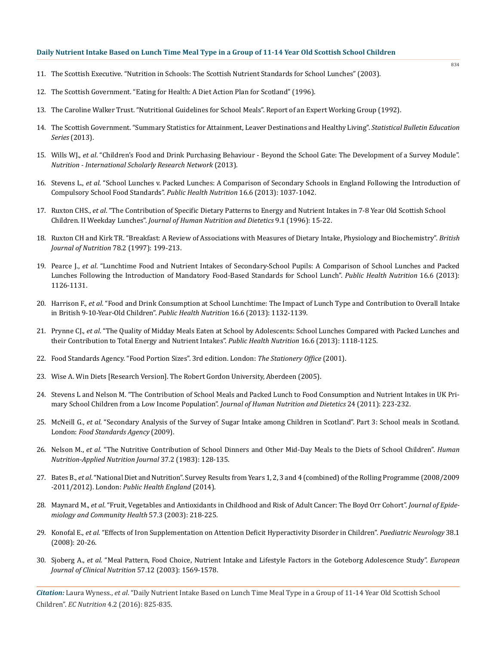- 11. The Scottish Executive. "Nutrition in Schools: The Scottish Nutrient Standards for School Lunches" (2003).
- 12. The Scottish Government. "Eating for Health: A Diet Action Plan for Scotland" (1996).
- 13. The Caroline Walker Trust. "Nutritional Guidelines for School Meals". Report of an Expert Working Group (1992).
- 14. The Scottish Government. "Summary Statistics for Attainment, Leaver Destinations and Healthy Living". *Statistical Bulletin Education Series* (2013).
- 15. Wills WJ., *et al*. "Children's Food and Drink Purchasing Behaviour Beyond the School Gate: The Development of a Survey Module". *Nutrition - International Scholarly Research Network* (2013).
- 16. Stevens L., *et al*. "School Lunches v. Packed Lunches: A Comparison of Secondary Schools in England Following the Introduction of Compulsory School Food Standards". *Public Health Nutrition* 16.6 (2013): 1037-1042.
- 17. Ruxton CHS., *et al*. "The Contribution of Specific Dietary Patterns to Energy and Nutrient Intakes in 7-8 Year Old Scottish School Children. II Weekday Lunches". *Journal of Human Nutrition and Dietetics* 9.1 (1996): 15-22.
- 18. Ruxton CH and Kirk TR. "Breakfast: A Review of Associations with Measures of Dietary Intake, Physiology and Biochemistry". *British Journal of Nutrition* 78.2 (1997): 199-213.
- 19. Pearce J., *et al*. "Lunchtime Food and Nutrient Intakes of Secondary-School Pupils: A Comparison of School Lunches and Packed Lunches Following the Introduction of Mandatory Food-Based Standards for School Lunch". *Public Health Nutrition* 16.6 (2013): 1126-1131.
- 20. Harrison F., *et al*. "Food and Drink Consumption at School Lunchtime: The Impact of Lunch Type and Contribution to Overall Intake in British 9-10-Year-Old Children". *Public Health Nutrition* 16.6 (2013): 1132-1139.
- 21. Prynne CJ., *et al*. "The Quality of Midday Meals Eaten at School by Adolescents: School Lunches Compared with Packed Lunches and their Contribution to Total Energy and Nutrient Intakes". *Public Health Nutrition* 16.6 (2013): 1118-1125.
- 22. Food Standards Agency. "Food Portion Sizes". 3rd edition. London: *The Stationery Office* (2001).
- 23. Wise A. Win Diets [Research Version]. The Robert Gordon University, Aberdeen (2005).
- 24. Stevens L and Nelson M. "The Contribution of School Meals and Packed Lunch to Food Consumption and Nutrient Intakes in UK Primary School Children from a Low Income Population". *Journal of Human Nutrition and Dietetics* 24 (2011): 223-232.
- 25. McNeill G., *et al*. "Secondary Analysis of the Survey of Sugar Intake among Children in Scotland". Part 3: School meals in Scotland. London: *Food Standards Agency* (2009).
- 26. Nelson M., *et al*. "The Nutritive Contribution of School Dinners and Other Mid-Day Meals to the Diets of School Children". *Human Nutrition-Applied Nutrition Journal* 37.2 (1983): 128-135.
- 27. Bates B., *et al*. "National Diet and Nutrition". Survey Results from Years 1, 2, 3 and 4 (combined) of the Rolling Programme (2008/2009 -2011/2012). London: *Public Health England* (2014).
- 28. Maynard M., *et al*. "Fruit, Vegetables and Antioxidants in Childhood and Risk of Adult Cancer: The Boyd Orr Cohort". *Journal of Epidemiology and Community Health* 57.3 (2003): 218-225.
- 29. Konofal E., *et al*. "Effects of Iron Supplementation on Attention Deficit Hyperactivity Disorder in Children". *Paediatric Neurology* 38.1 (2008): 20-26.
- 30. Sjoberg A., *et al*. "Meal Pattern, Food Choice, Nutrient Intake and Lifestyle Factors in the Goteborg Adolescence Study". *European Journal of Clinical Nutrition* 57.12 (2003): 1569-1578.

*Citation:* Laura Wyness., *et al*. "Daily Nutrient Intake Based on Lunch Time Meal Type in a Group of 11-14 Year Old Scottish School Children". *EC Nutrition* 4.2 (2016): 825-835.